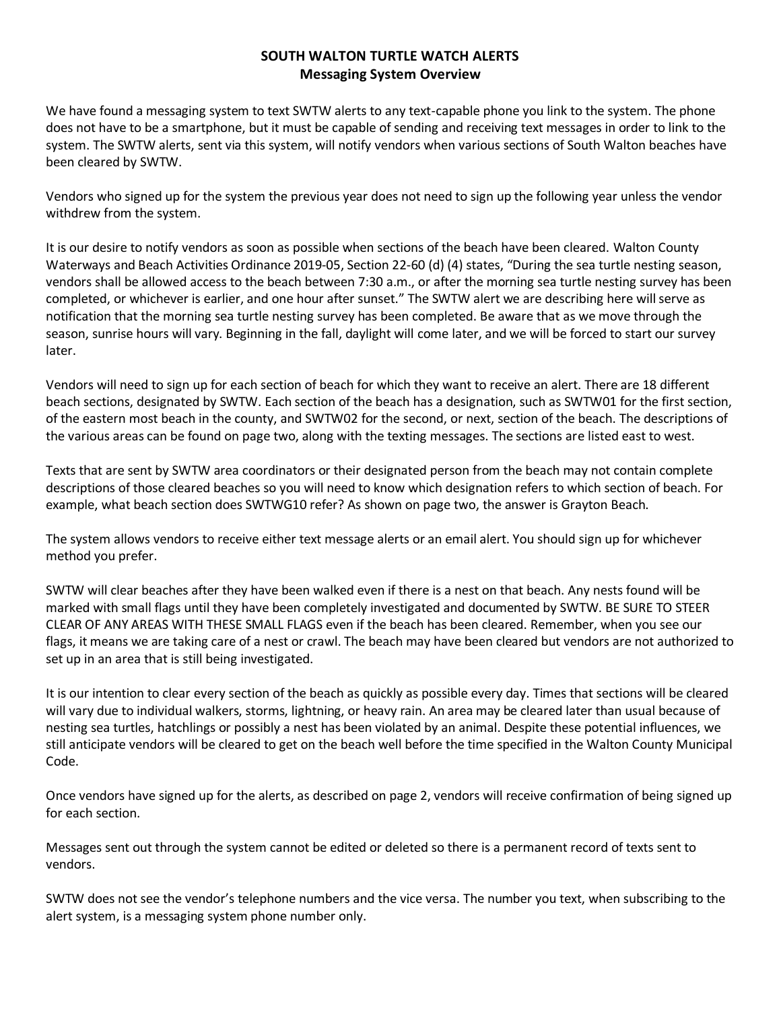## **SOUTH WALTON TURTLE WATCH ALERTS Messaging System Overview**

We have found a messaging system to text SWTW alerts to any text-capable phone you link to the system. The phone does not have to be a smartphone, but it must be capable of sending and receiving text messages in order to link to the system. The SWTW alerts, sent via this system, will notify vendors when various sections of South Walton beaches have been cleared by SWTW.

Vendors who signed up for the system the previous year does not need to sign up the following year unless the vendor withdrew from the system.

It is our desire to notify vendors as soon as possible when sections of the beach have been cleared. Walton County Waterways and Beach Activities Ordinance 2019-05, Section 22-60 (d) (4) states, "During the sea turtle nesting season, vendors shall be allowed access to the beach between 7:30 a.m., or after the morning sea turtle nesting survey has been completed, or whichever is earlier, and one hour after sunset." The SWTW alert we are describing here will serve as notification that the morning sea turtle nesting survey has been completed. Be aware that as we move through the season, sunrise hours will vary. Beginning in the fall, daylight will come later, and we will be forced to start our survey later.

Vendors will need to sign up for each section of beach for which they want to receive an alert. There are 18 different beach sections, designated by SWTW. Each section of the beach has a designation, such as SWTW01 for the first section, of the eastern most beach in the county, and SWTW02 for the second, or next, section of the beach. The descriptions of the various areas can be found on page two, along with the texting messages. The sections are listed east to west.

Texts that are sent by SWTW area coordinators or their designated person from the beach may not contain complete descriptions of those cleared beaches so you will need to know which designation refers to which section of beach. For example, what beach section does SWTWG10 refer? As shown on page two, the answer is Grayton Beach.

The system allows vendors to receive either text message alerts or an email alert. You should sign up for whichever method you prefer.

SWTW will clear beaches after they have been walked even if there is a nest on that beach. Any nests found will be marked with small flags until they have been completely investigated and documented by SWTW. BE SURE TO STEER CLEAR OF ANY AREAS WITH THESE SMALL FLAGS even if the beach has been cleared. Remember, when you see our flags, it means we are taking care of a nest or crawl. The beach may have been cleared but vendors are not authorized to set up in an area that is still being investigated.

It is our intention to clear every section of the beach as quickly as possible every day. Times that sections will be cleared will vary due to individual walkers, storms, lightning, or heavy rain. An area may be cleared later than usual because of nesting sea turtles, hatchlings or possibly a nest has been violated by an animal. Despite these potential influences, we still anticipate vendors will be cleared to get on the beach well before the time specified in the Walton County Municipal Code.

Once vendors have signed up for the alerts, as described on page 2, vendors will receive confirmation of being signed up for each section.

Messages sent out through the system cannot be edited or deleted so there is a permanent record of texts sent to vendors.

SWTW does not see the vendor's telephone numbers and the vice versa. The number you text, when subscribing to the alert system, is a messaging system phone number only.